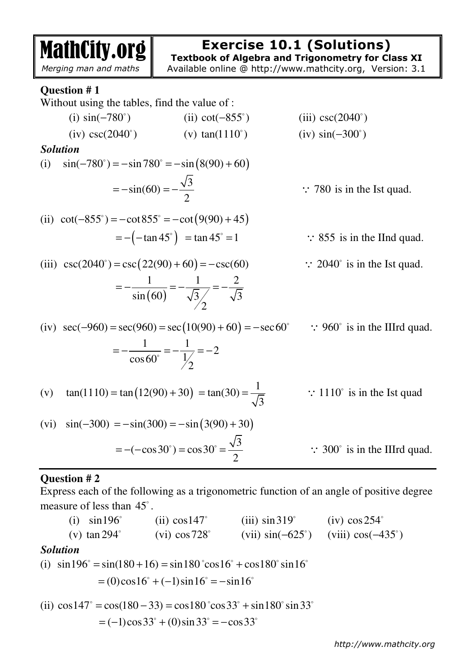| <b>MathCity.org</b><br>Merging man and maths                    |                                                                      | <b>Exercise 10.1 (Solutions)</b><br><b>Textbook of Algebra and Trigonometry for Class XI</b><br>Available online @ http://www.mathcity.org, Version: 3.1 |
|-----------------------------------------------------------------|----------------------------------------------------------------------|----------------------------------------------------------------------------------------------------------------------------------------------------------|
| Question #1<br>Without using the tables, find the value of :    |                                                                      |                                                                                                                                                          |
| (i) $\sin(-780^\circ)$                                          | (ii) $cot(-855^\circ)$                                               | (iii) $\csc(2040^\circ)$                                                                                                                                 |
| $(iv) \csc(2040^\circ)$                                         | (v) $tan(1110^{\circ})$                                              | $(iv) sin(-300^\circ)$                                                                                                                                   |
| <b>Solution</b>                                                 |                                                                      |                                                                                                                                                          |
| $\sin(-780^\circ) = -\sin 780^\circ = -\sin(8(90) + 60)$<br>(i) |                                                                      |                                                                                                                                                          |
|                                                                 | $=-\sin(60)=-\frac{\sqrt{3}}{2}$                                     | $\therefore$ 780 is in the Ist quad.                                                                                                                     |
| (ii) $\cot(-855^\circ) = -\cot 855^\circ = -\cot (9(90) + 45)$  |                                                                      |                                                                                                                                                          |
|                                                                 | $= -(-\tan 45^\circ) = \tan 45^\circ = 1$                            | $\therefore$ 855 is in the IInd quad.                                                                                                                    |
| (iii) $\csc(2040^\circ) = \csc(22(90) + 60) = -\csc(60)$        |                                                                      | $\therefore$ 2040° is in the Ist quad.                                                                                                                   |
|                                                                 | $=-\frac{1}{\sin(60)}=-\frac{1}{\sqrt{3}}=-\frac{2}{\sqrt{3}}$       |                                                                                                                                                          |
|                                                                 |                                                                      | (iv) $sec(-960) = sec(960) = sec(10(90) + 60) = -sec60^{\circ}$ : 960° is in the IIIrd quad.                                                             |
|                                                                 | $=-\frac{1}{\cos 60^\circ}=-\frac{1}{\frac{1}{2}}=-2$                |                                                                                                                                                          |
|                                                                 | (v) $\tan(1110) = \tan(12(90) + 30) = \tan(30) = \frac{1}{\sqrt{3}}$ | $\therefore$ 1110° is in the Ist quad                                                                                                                    |
| (vi) $sin(-300) = -sin(300) = -sin(3(90) + 30)$                 |                                                                      |                                                                                                                                                          |
|                                                                 | $= -(-\cos 30^\circ) = \cos 30^\circ = \frac{\sqrt{3}}{2}$           | $\therefore$ 300° is in the IIIrd quad.                                                                                                                  |

# **Question # 2**

Express each of the following as a trigonometric function of an angle of positive degree measure of less than  $45^\circ$ .

(i)  $\sin 196^\circ$ (ii)  $\cos 147^\circ$  $(iii)$  sin 319 $^{\circ}$  $(iv)$  cos  $254^\circ$ (v)  $\tan 294^\circ$  (vi) cos728 (vii)  $\sin(-625^\circ)$ (viii)  $cos(-435^\circ)$ *Solution*  (i)  $\sin 196^\circ = \sin(180 + 16) = \sin 180^\circ \cos 16^\circ + \cos 180^\circ \sin 16^\circ$  $= (0)\cos 16^\circ + (-1)\sin 16^\circ = -\sin 16^\circ$ 

(ii) 
$$
\cos 147^\circ = \cos(180 - 33) = \cos 180^\circ \cos 33^\circ + \sin 180^\circ \sin 33^\circ
$$
  
= (-1)  $\cos 33^\circ + (0) \sin 33^\circ = -\cos 33^\circ$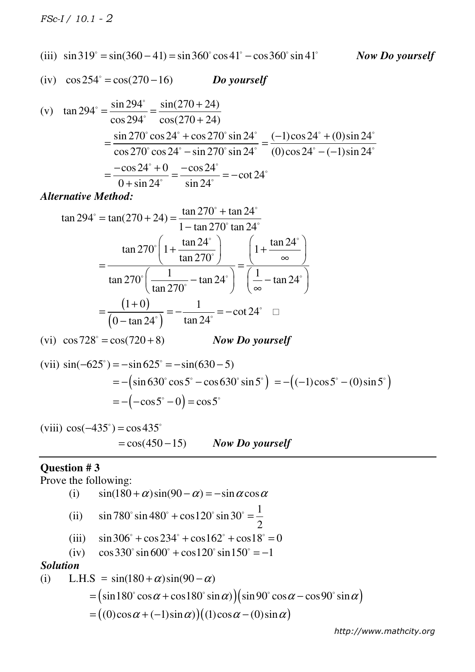*FSc-I / 10.1 - 2*

(iii) 
$$
\sin 319^\circ = \sin(360 - 41) = \sin 360^\circ \cos 41^\circ - \cos 360^\circ \sin 41^\circ
$$

*Now Do yourself*

(iv) 
$$
\cos 254^\circ = \cos(270 - 16)
$$
 *Do yourself*

(v) 
$$
\tan 294^\circ = \frac{\sin 294^\circ}{\cos 294^\circ} = \frac{\sin(270 + 24)}{\cos(270 + 24)}
$$
  
\n
$$
= \frac{\sin 270^\circ \cos 24^\circ + \cos 270^\circ \sin 24^\circ}{\cos 270^\circ \cos 24^\circ - \sin 270^\circ \sin 24^\circ} = \frac{(-1)\cos 24^\circ + (0)\sin 24^\circ}{(0)\cos 24^\circ - (-1)\sin 24^\circ}
$$
\n
$$
= \frac{-\cos 24^\circ + 0}{0 + \sin 24^\circ} = \frac{-\cos 24^\circ}{\sin 24^\circ} = -\cot 24^\circ
$$

*Alternative Method:* 

$$
\tan 294^\circ = \tan(270 + 24) = \frac{\tan 270^\circ + \tan 24^\circ}{1 - \tan 270^\circ \tan 24^\circ}
$$

$$
= \frac{\tan 270^\circ \left(1 + \frac{\tan 24^\circ}{\tan 270^\circ}\right)}{\tan 270^\circ \left(\frac{1}{\tan 270^\circ} - \tan 24^\circ\right)} = \frac{\left(1 + \frac{\tan 24^\circ}{\infty}\right)}{\left(\frac{1}{\infty} - \tan 24^\circ\right)}
$$

$$
= \frac{\left(1 + 0\right)}{\left(0 - \tan 24^\circ\right)} = -\frac{1}{\tan 24^\circ} = -\cot 24^\circ \quad \Box
$$

(vi) 
$$
\cos 728^\circ = \cos(720 + 8)
$$
 Now Do yourself

(vii) 
$$
\sin(-625^\circ) = -\sin 625^\circ = -\sin(630 - 5)
$$
  
=  $-(\sin 630^\circ \cos 5^\circ - \cos 630^\circ \sin 5^\circ) = -((-1)\cos 5^\circ - (0)\sin 5^\circ)$   
=  $-(-\cos 5^\circ - 0) = \cos 5^\circ$ 

(viii) 
$$
cos(-435^\circ) = cos 435^\circ
$$
  
=  $cos(450-15)$  Now Do yourself

## **Question # 3**

Prove the following:

(i)  $\sin(180 + \alpha)\sin(90 - \alpha) = -\sin \alpha \cos \alpha$ (ii)  $\sin 780^\circ \sin 480^\circ + \cos 120^\circ \sin 30^\circ = \frac{1}{2}$ 2  $\sin 480^\circ + \cos 120^\circ \sin 30^\circ =$ (iii)  $\sin 306^\circ + \cos 234^\circ + \cos 162^\circ + \cos 18^\circ = 0$ (iv)  $\cos 330^\circ \sin 600^\circ + \cos 120^\circ \sin 150^\circ = -1$ *Solution*  (i) L.H.S =  $\sin(180 + \alpha)\sin(90 - \alpha)$  $= (\sin 180^\circ \cos \alpha + \cos 180^\circ \sin \alpha) (\sin 90^\circ \cos \alpha - \cos 90^\circ \sin \alpha)$  $= ((0)\cos\alpha + (-1)\sin\alpha) ((1)\cos\alpha - (0)\sin\alpha)$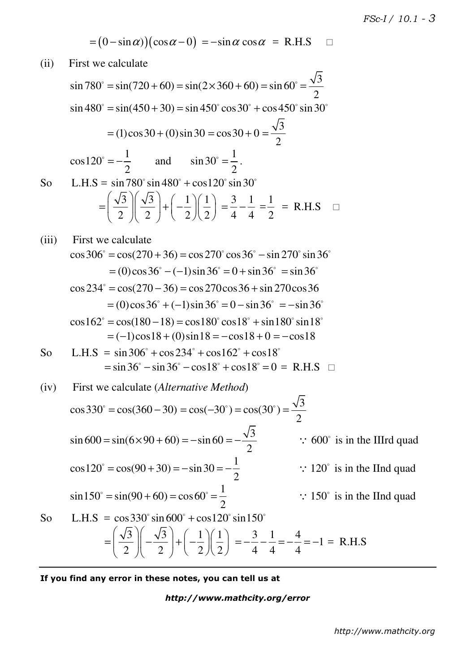$$
= (0 - \sin \alpha) ( \cos \alpha - 0 ) = - \sin \alpha \cos \alpha = \text{R.H.S} \quad \Box
$$

(ii) First we calculate

sin 780° = sin(720 + 60) = sin(2×360 + 60) = sin 60° = 
$$
\frac{\sqrt{3}}{2}
$$
  
\nsin 480° = sin(450 + 30) = sin 450° cos 30° + cos 450° sin 30°  
\n= (1)cos30 + (0)sin 30 = cos 30 + 0 =  $\frac{\sqrt{3}}{2}$   
\ncos 120° =  $-\frac{1}{2}$  and sin 30° =  $\frac{1}{2}$ .  
\nSo L.H.S = sin 780° sin 480° + cos 120° sin 30°  
\n=  $\left(\frac{\sqrt{3}}{2}\right)\left(\frac{\sqrt{3}}{2}\right) + \left(-\frac{1}{2}\right)\left(\frac{1}{2}\right) = \frac{3}{4} - \frac{1}{4} = \frac{1}{2}$  = R.H.S   
\n(iii) First we calculate  
\ncos 306° = cos(270 + 36) = cos 270° cos 36° - sin 270° sin 36°  
\n= (0)cos 36° - (-1)sin 36° = 0 + sin 36° = sin 36°  
\ncos 234° = cos(270 - 36) = cos 270cos 36 + sin 270cos 36  
\n= (0)cos 36° + (-1)sin 36° = 0 - sin 36° = -sin 36°  
\ncos 162° = cos(180 - 18) = cos 180° cos 18° + sin 180° sin 18°  
\n= (-1)cos18 + (0)sin 18 = -cos18 + 0 = -cos18  
\nSo L.H.S = sin 306° + cos 234° + cos162° + cos18°  
\n= sin 36° - cos18° + cos18° = 0 = R.H.S   
\n(i) First we calculate (*Alternative Method*)  
\ncos 330° = cos(360 - 30) = cos(-30°) = cos(30°) =  $\frac{\sqrt{3}}{2}$   
\nsin 600 = sin(6×90 + 60) = -sin 60 =  $-\frac{\sqrt{3}}{2}$  ∴ 600° is in the IIIrd quad  
\ncos 120° = cos(90 + 30) = -sin 30 =  $-\frac{1}{2}$   
\

**If you find any error in these notes, you can tell us at** 

 $2 \parallel 2 \parallel 2 \parallel 2 \parallel 2$ 

*http://www.mathcity.org/error* 

4 4 4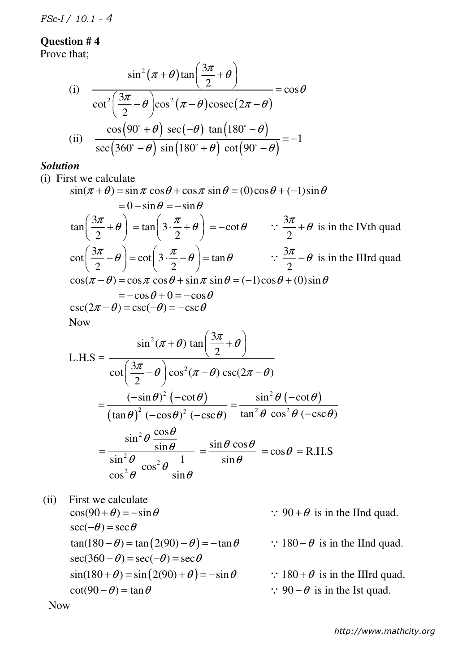*FSc-I / 10.1 - 4*

### **Question # 4**

Prove that;

(i) 
$$
\frac{\sin^2(\pi + \theta)\tan\left(\frac{3\pi}{2} + \theta\right)}{\cot^2\left(\frac{3\pi}{2} - \theta\right)\cos^2(\pi - \theta)\csc(2\pi - \theta)} = \cos\theta
$$
  
(ii) 
$$
\frac{\cos(90^\circ + \theta) \sec(-\theta) \tan(180^\circ - \theta)}{\sec(360^\circ - \theta) \sin(180^\circ + \theta) \cot(90^\circ - \theta)} = -1
$$

#### *Solution*

(i) First we calculate

2

 $\cos^2 \theta$  sin

 $\theta$   $\sin \theta$ 

 $\sin(\pi + \theta) = \sin \pi \cos \theta + \cos \pi \sin \theta = (0)\cos \theta + (-1)\sin \theta$  $= 0 - \sin \theta = -\sin \theta$ 3 tan 2  $\left(\frac{3\pi}{2}+\theta\right)$  $\left(\frac{3\pi}{2}+\theta\right)=\tan\left(3\cdot\frac{\pi}{2}\right)$  $\left(3 \cdot \frac{\pi}{4} + \theta\right)$  $=$   $\tan\left(3 \cdot \frac{\pi}{2} + \theta\right) = -\cot \theta$ 3 2  $\therefore \frac{3\pi}{2} + \theta$  is in the IVth quad 3 cot 2  $\left(\frac{3\pi}{2}-\theta\right)$  $\left(\frac{3n}{2}-\theta\right)=\cot\left(3\cdot\frac{n}{2}\right)$  $\left(3 \cdot \frac{\pi}{\theta} - \theta\right)$  $= \cot \left(3 \cdot \frac{\pi}{2} - \theta \right) = \tan \theta$ 3 2  $\therefore \frac{3\pi}{2} - \theta$  is in the IIIrd quad  $\cos(\pi - \theta) = \cos \pi \cos \theta + \sin \pi \sin \theta = (-1)\cos \theta + (0)\sin \theta$  $=-\cos\theta + 0 = -\cos\theta$  $\csc(2\pi - \theta) = \csc(-\theta) = -\csc \theta$ Now  $L.H.S =$ 2 2 3  $\sin^2(\pi + \theta)$  tan 2 3  $\cot \left( \frac{3\pi}{2} - \theta \right) \cos^2(\pi - \theta) \csc(2\pi - \theta)$ 2  $(\pi + \theta) \tan \left( \frac{3\pi}{2} + \theta \right)$  $\left( \frac{\pi}{2} - \theta \right) \cos^2(\pi - \theta) \csc(2\pi - \theta)$  $(3\pi)$  $+\theta$ ) tan $\left(\frac{3\pi}{2}+\theta\right)$  $\left(\frac{3\pi}{2}-\theta\right)\cos^2(\pi-\theta)\csc(2\pi-\theta)$  $(-\cot \theta)$  $(\tan \theta)^{\frac{1}{2}}$ 2 <sup>2</sup>  $($  200  $\theta$ <sup>2</sup>  $(-\sin \theta)^2$  (-cot  $\tan \theta$ )<sup>2</sup> ( $-\cos \theta$ )<sup>2</sup> ( $-\csc \theta$ )  $(\theta)^2$   $(-\cot\theta)$  $\theta$ <sup>2</sup>  $(-\cos\theta)^2$   $(-\csc\theta)$  $-\sin\theta$ <sup>2</sup> (− =  $-\cos\theta$ <sup>2</sup> (− <sup>2</sup> $\theta$  ( $-\cot \theta$ )  $^{2}$   $\Omega$  200<sup>2</sup>  $\sin^2\theta$  (-cot  $\tan^2 \theta \cos^2 \theta (-\csc \theta)$  $\theta$  ( $-\cot\theta$  $\theta$  cos<sup>2</sup> $\theta$  (-csc $\theta$ ) − = − 2 2 2  $\sin^2\theta \frac{\cos \theta}{\cos \theta}$ <u>sin</u>  $\sin^2 \theta$   $\cos^2 \theta$  1 cos θ θ θ θ θ =  $\sin \theta \cos$ sin  $\theta$  cos $\theta$  $=\frac{\sin\theta \cos\theta}{\sin\theta} = \cos\theta =$ R.H.S

 (ii) First we calculate  $\cos(90 + \theta) = -\sin \theta$  :  $90 + \theta$  is in the IInd quad.  $\sec(-\theta) = \sec \theta$  $tan(180 - \theta) = tan(2(90) - \theta) = -tan\theta$  :  $180 - \theta$  is in the IInd quad.  $\sec(360 - \theta) = \sec(-\theta) = \sec \theta$  $\sin(180 + \theta) = \sin(2(90) + \theta) = -\sin \theta$  :  $180 + \theta$  is in the IIIrd quad.  $\cot(90 - \theta) = \tan \theta$  :  $90 - \theta$  is in the Ist quad. Now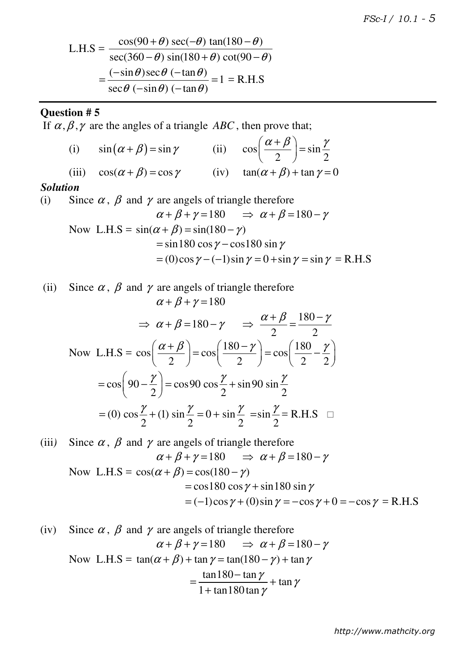L.H.S = 
$$
\frac{\cos(90 + \theta) \sec(-\theta) \tan(180 - \theta)}{\sec(360 - \theta) \sin(180 + \theta) \cot(90 - \theta)}
$$

$$
= \frac{(-\sin\theta)\sec\theta (-\tan\theta)}{\sec\theta (-\sin\theta) (-\tan\theta)} = 1 = R.H.S
$$

# **Question # 5**

If  $\alpha, \beta, \gamma$  are the angles of a triangle *ABC*, then prove that;

(i) 
$$
\sin(\alpha + \beta) = \sin \gamma
$$
 (ii)  $\cos\left(\frac{\alpha + \beta}{2}\right) = \sin\frac{\gamma}{2}$   
(iii)  $\cos(\alpha + \beta) = \cos \gamma$  (iv)  $\tan(\alpha + \beta) + \tan \gamma = 0$ 

### *Solution*

(i) Since  $\alpha$ ,  $\beta$  and  $\gamma$  are angels of triangle therefore  $\alpha + \beta + \gamma = 180 \implies \alpha + \beta = 180 - \gamma$ Now L.H.S =  $sin(\alpha + \beta) = sin(180 - \gamma)$  $=$  sin180 cos  $\gamma$  – cos180 sin  $\gamma$  $= (0)\cos\gamma - (-1)\sin\gamma = 0 + \sin\gamma = \sin\gamma = R.H.S$ 

(ii) Since 
$$
\alpha
$$
,  $\beta$  and  $\gamma$  are angles of triangle therefore  
\n
$$
\alpha + \beta + \gamma = 180
$$
\n
$$
\Rightarrow \alpha + \beta = 180 - \gamma \Rightarrow \frac{\alpha + \beta}{2} = \frac{180 - \gamma}{2}
$$
\nNow L.H.S =  $\cos\left(\frac{\alpha + \beta}{2}\right) = \cos\left(\frac{180 - \gamma}{2}\right) = \cos\left(\frac{180}{2} - \frac{\gamma}{2}\right)$   
\n $= \cos\left(90 - \frac{\gamma}{2}\right) = \cos 90 \cos \frac{\gamma}{2} + \sin 90 \sin \frac{\gamma}{2}$   
\n $= (0) \cos \frac{\gamma}{2} + (1) \sin \frac{\gamma}{2} = 0 + \sin \frac{\gamma}{2} = \sin \frac{\gamma}{2} = \text{R.H.S} \quad \Box$ 

(iii) Since 
$$
\alpha
$$
,  $\beta$  and  $\gamma$  are angles of triangle therefore  
\n
$$
\alpha + \beta + \gamma = 180 \implies \alpha + \beta = 180 - \gamma
$$
\nNow L.H.S =  $\cos(\alpha + \beta) = \cos(180 - \gamma)$   
\n $= \cos 180 \cos \gamma + \sin 180 \sin \gamma$   
\n $= (-1)\cos \gamma + (0)\sin \gamma = -\cos \gamma + 0 = -\cos \gamma = \text{R.H.S}$ 

(iv) Since 
$$
\alpha
$$
,  $\beta$  and  $\gamma$  are angles of triangle therefore  
\n
$$
\alpha + \beta + \gamma = 180 \implies \alpha + \beta = 180 - \gamma
$$
\nNow L.H.S =  $\tan(\alpha + \beta) + \tan \gamma = \tan(180 - \gamma) + \tan \gamma$   
\n
$$
= \frac{\tan 180 - \tan \gamma}{1 + \tan 180 \tan \gamma} + \tan \gamma
$$